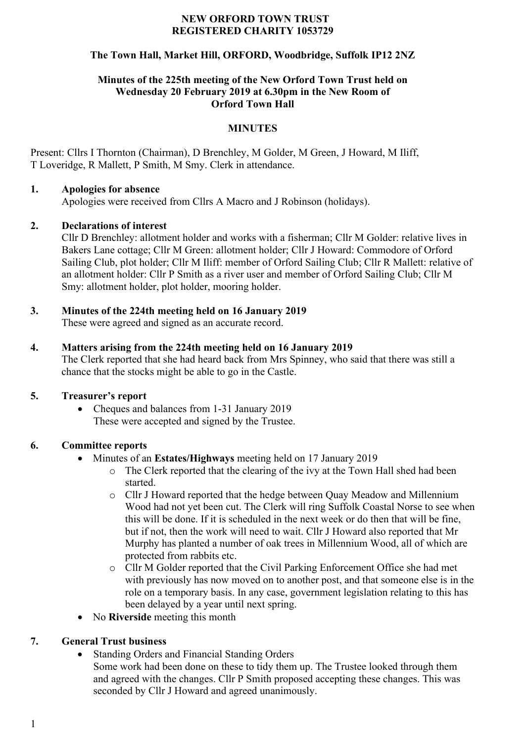#### **NEW ORFORD TOWN TRUST REGISTERED CHARITY 1053729**

## **The Town Hall, Market Hill, ORFORD, Woodbridge, Suffolk IP12 2NZ**

### **Minutes of the 225th meeting of the New Orford Town Trust held on Wednesday 20 February 2019 at 6.30pm in the New Room of Orford Town Hall**

### **MINUTES**

Present: Cllrs I Thornton (Chairman), D Brenchley, M Golder, M Green, J Howard, M Iliff, T Loveridge, R Mallett, P Smith, M Smy. Clerk in attendance.

### **1. Apologies for absence**

Apologies were received from Cllrs A Macro and J Robinson (holidays).

### **2. Declarations of interest**

Cllr D Brenchley: allotment holder and works with a fisherman; Cllr M Golder: relative lives in Bakers Lane cottage; Cllr M Green: allotment holder; Cllr J Howard: Commodore of Orford Sailing Club, plot holder; Cllr M Iliff: member of Orford Sailing Club; Cllr R Mallett: relative of an allotment holder: Cllr P Smith as a river user and member of Orford Sailing Club; Cllr M Smy: allotment holder, plot holder, mooring holder.

# **3. Minutes of the 224th meeting held on 16 January 2019**

These were agreed and signed as an accurate record.

### **4. Matters arising from the 224th meeting held on 16 January 2019**

The Clerk reported that she had heard back from Mrs Spinney, who said that there was still a chance that the stocks might be able to go in the Castle.

## **5. Treasurer's report**

• Cheques and balances from 1-31 January 2019 These were accepted and signed by the Trustee.

## **6. Committee reports**

- Minutes of an **Estates/Highways** meeting held on 17 January 2019
	- o The Clerk reported that the clearing of the ivy at the Town Hall shed had been started.
	- o Cllr J Howard reported that the hedge between Quay Meadow and Millennium Wood had not yet been cut. The Clerk will ring Suffolk Coastal Norse to see when this will be done. If it is scheduled in the next week or do then that will be fine, but if not, then the work will need to wait. Cllr J Howard also reported that Mr Murphy has planted a number of oak trees in Millennium Wood, all of which are protected from rabbits etc.
	- o Cllr M Golder reported that the Civil Parking Enforcement Office she had met with previously has now moved on to another post, and that someone else is in the role on a temporary basis. In any case, government legislation relating to this has been delayed by a year until next spring.
- No **Riverside** meeting this month

## **7. General Trust business**

- Standing Orders and Financial Standing Orders
	- Some work had been done on these to tidy them up. The Trustee looked through them and agreed with the changes. Cllr P Smith proposed accepting these changes. This was seconded by Cllr J Howard and agreed unanimously.